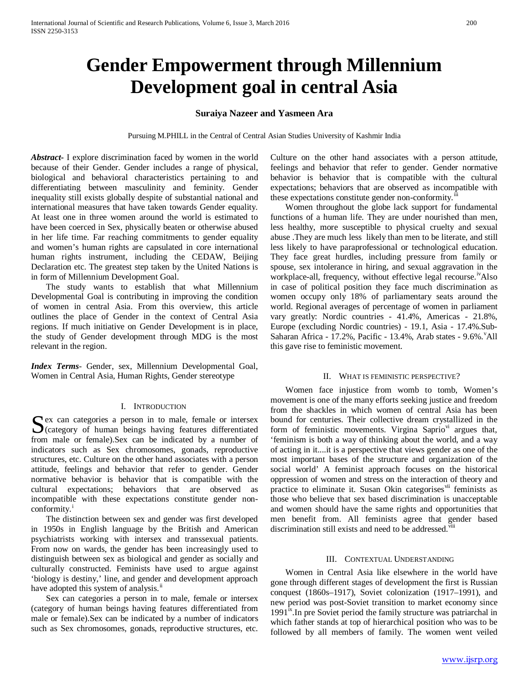# **Gender Empowerment through Millennium Development goal in central Asia**

# **Suraiya Nazeer and Yasmeen Ara**

Pursuing M.PHILL in the Central of Central Asian Studies University of Kashmir India

*Abstract***-** I explore discrimination faced by women in the world because of their Gender. Gender includes a range of physical, biological and behavioral characteristics pertaining to and differentiating between masculinity and feminity. Gender inequality still exists globally despite of substantial national and international measures that have taken towards Gender equality. At least one in three women around the world is estimated to have been coerced in Sex, physically beaten or otherwise abused in her life time. Far reaching commitments to gender equality and women's human rights are capsulated in core international human rights instrument, including the CEDAW, Beijing Declaration etc. The greatest step taken by the United Nations is in form of Millennium Development Goal.

 The study wants to establish that what Millennium Developmental Goal is contributing in improving the condition of women in central Asia. From this overview, this article outlines the place of Gender in the context of Central Asia regions. If much initiative on Gender Development is in place, the study of Gender development through MDG is the most relevant in the region.

*Index Terms*- Gender, sex, Millennium Developmental Goal, Women in Central Asia, Human Rights, Gender stereotype

#### I. INTRODUCTION

ex can categories a person in to male, female or intersex Sex can categories a person in to male, female or intersex<br>
(category of human beings having features differentiated from male or female).Sex can be indicated by a number of indicators such as Sex chromosomes, gonads, reproductive structures, etc. Culture on the other hand associates with a person attitude, feelings and behavior that refer to gender. Gender normative behavior is behavior that is compatible with the cultural expectations; behaviors that are observed as incompatible with these expectations constitute gender nonconform[i](#page-3-0)ty.<sup>i</sup>

 The distinction between sex and gender was first developed in 1950s in English language by the British and American psychiatrists working with intersex and transsexual patients. From now on wards, the gender has been increasingly used to distinguish between sex as biological and gender as socially and culturally constructed. Feminists have used to argue against 'biology is destiny,' line, and gender and development approach have adopted this system of analysis.<sup>[ii](#page-3-1)</sup>

 Sex can categories a person in to male, female or intersex (category of human beings having features differentiated from male or female).Sex can be indicated by a number of indicators such as Sex chromosomes, gonads, reproductive structures, etc.

Culture on the other hand associates with a person attitude, feelings and behavior that refer to gender. Gender normative behavior is behavior that is compatible with the cultural expectations; behaviors that are observed as incompatible with these expectations constitute gender non-conformity. $I<sup>II</sup>$ 

 Women throughout the globe lack support for fundamental functions of a human life. They are under nourished than men, less healthy, more susceptible to physical cruelty and sexual abuse .They are much less likely than men to be literate, and still less likely to have paraprofessional or technological education. They face great hurdles, including pressure from family or spouse, sex intolerance in hiring, and sexual aggravation in the workplace-all, frequency, without effective legal recourse.<sup>iv</sup>Also in case of political position they face much discrimination as women occupy only 18% of parliamentary seats around the world. Regional averages of percentage of women in parliament vary greatly: Nordic countries - 41.4%, Americas - 21.8%, Europe (excluding Nordic countries) - 19.1, Asia - 17.4%.Sub-Saharan Africa - 17.2%, Pacific - 13.4%, Arab states - 9.6%. All this gave rise to feministic movement.

#### II. WHAT IS FEMINISTIC PERSPECTIVE?

 Women face injustice from womb to tomb, Women's movement is one of the many efforts seeking justice and freedom from the shackles in which women of central Asia has been bound for centuries. Their collective dream crystallized in the form of feministic movements. Virgina Saprio[vi](#page-3-5) argues that, 'feminism is both a way of thinking about the world, and a way of acting in it....it is a perspective that views gender as one of the most important bases of the structure and organization of the social world' A feminist approach focuses on the historical oppression of women and stress on the interaction of theory and practice to eliminate it. Susan Okin categorises<sup>[vii](#page-3-6)</sup> feminists as those who believe that sex based discrimination is unacceptable and women should have the same rights and opportunities that men benefit from. All feminists agree that gender based discrimination still exists and need to be addressed.<sup>[viii](#page-3-7)</sup>

#### III. CONTEXTUAL UNDERSTANDING

 Women in Central Asia like elsewhere in the world have gone through different stages of development the first is Russian conquest (1860s–1917), Soviet colonization (1917–1991), and new period was post-Soviet transition to market economy since  $1991<sup>ix</sup>$  $1991<sup>ix</sup>$  $1991<sup>ix</sup>$ . In pre Soviet period the family structure was patriarchal in which father stands at top of hierarchical position who was to be followed by all members of family. The women went veiled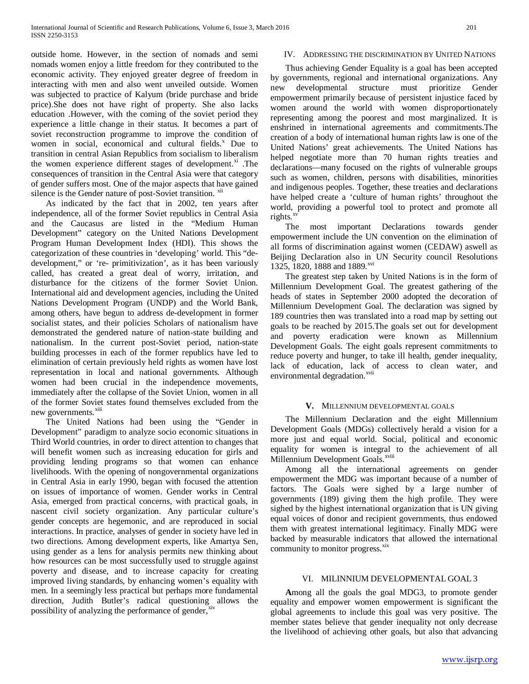outside home. However, in the section of nomads and semi nomads women enjoy a little freedom for they contributed to the economic activity. They enjoyed greater degree of freedom in interacting with men and also went unveiled outside. Women was subjected to practice of Kalyum (bride purchase and bride price).She does not have right of property. She also lacks education .However, with the coming of the soviet period they experience a little change in their status. It becomes a part of soviet reconstruction programme to improve the condition of women in social, economical and cultural fields.<sup>[x](#page-3-9)</sup> Due to transition in central Asian Republics from socialism to liberalism the women experience different stages of development. $^{\text{xi}}$  $^{\text{xi}}$  $^{\text{xi}}$ . The consequences of transition in the Central Asia were that category of gender suffers most. One of the major aspects that have gained silence is the Gender nature of post-Soviet transition.  $^{xii}$  $^{xii}$  $^{xii}$ 

 As indicated by the fact that in 2002, ten years after independence, all of the former Soviet republics in Central Asia and the Caucasus are listed in the "Medium Human Development" category on the United Nations Development Program Human Development Index (HDI). This shows the categorization of these countries in 'developing' world. This "dedevelopment," or 're- primitivization', as it has been variously called, has created a great deal of worry, irritation, and disturbance for the citizens of the former Soviet Union. International aid and development agencies, including the United Nations Development Program (UNDP) and the World Bank, among others, have begun to address de-development in former socialist states, and their policies Scholars of nationalism have demonstrated the gendered nature of nation-state building and nationalism. In the current post-Soviet period, nation-state building processes in each of the former republics have led to elimination of certain previously held rights as women have lost representation in local and national governments. Although women had been crucial in the independence movements, immediately after the collapse of the Soviet Union, women in all of the former Soviet states found themselves excluded from the new governments.<sup>[xiii](#page-3-12)</sup>

 The United Nations had been using the "Gender in Development" paradigm to analyze socio economic situations in Third World countries, in order to direct attention to changes that will benefit women such as increasing education for girls and providing lending programs so that women can enhance livelihoods. With the opening of nongovernmental organizations in Central Asia in early 1990, began with focused the attention on issues of importance of women. Gender works in Central Asia, emerged from practical concerns, with practical goals, in nascent civil society organization. Any particular culture's gender concepts are hegemonic, and are reproduced in social interactions. In practice, analyses of gender in society have led in two directions. Among development experts, like Amartya Sen, using gender as a lens for analysis permits new thinking about how resources can be most successfully used to struggle against poverty and disease, and to increase capacity for creating improved living standards, by enhancing women's equality with men. In a seemingly less practical but perhaps more fundamental direction, Judith Butler's radical questioning allows the possibility of analyzing the performance of gender,<sup>[xiv](#page-3-13)</sup>

# IV. ADDRESSING THE DISCRIMINATION BY UNITED NATIONS

 Thus achieving Gender Equality is a goal has been accepted by governments, regional and international organizations. Any new developmental structure must prioritize Gender empowerment primarily because of persistent injustice faced by women around the world with women disproportionately representing among the poorest and most marginalized. It is enshrined in international agreements and commitments.The creation of a body of international human rights law is one of the United Nations' great achievements. The United Nations has helped negotiate more than 70 human rights treaties and declarations—many focused on the rights of vulnerable groups such as women, children, persons with disabilities, minorities and indigenous peoples. Together, these treaties and declarations have helped create a 'culture of human rights' throughout the world, providing a powerful tool to protect and promote all rights.<sup>[xv](#page-3-14)</sup>

 The most important Declarations towards gender empowerment include the UN convention on the elimination of all forms of discrimination against women (CEDAW) aswell as Beijing Declaration also in UN Security council Resolutions 1325, 1820, 1888 and 1889.<sup>[xvi](#page-4-0)</sup>

 The greatest step taken by United Nations is in the form of Millennium Development Goal. The greatest gathering of the heads of states in September 2000 adopted the decoration of Millennium Development Goal. The declaration was signed by 189 countries then was translated into a road map by setting out goals to be reached by 2015.The goals set out for development and poverty eradication were known as Millennium Development Goals. The eight goals represent commitments to reduce poverty and hunger, to take ill health, gender inequality, lack of education, lack of access to clean water, and environmental degradation.<sup>[xvii](#page-4-1)</sup>

#### **V.** MILLENNIUM DEVELOPMENTAL GOALS

 The Millennium Declaration and the eight Millennium Development Goals (MDGs) collectively herald a vision for a more just and equal world. Social, political and economic equality for women is integral to the achievement of all Millennium Development Goals.<sup>xviii</sup>

 Among all the international agreements on gender empowerment the MDG was important because of a number of factors. The Goals were sighed by a large number of governments (189) giving them the high profile. They were sighed by the highest international organization that is UN giving equal voices of donor and recipient governments, thus endowed them with greatest international legitimacy. Finally MDG were backed by measurable indicators that allowed the international community to monitor progress.<sup>[xix](#page-4-3)</sup>

#### VI. MILINNIUM DEVELOPMENTAL GOAL 3

 **A**mong all the goals the goal MDG3, to promote gender equality and empower women empowerment is significant the global agreements to include this goal was very positive. The member states believe that gender inequality not only decrease the livelihood of achieving other goals, but also that advancing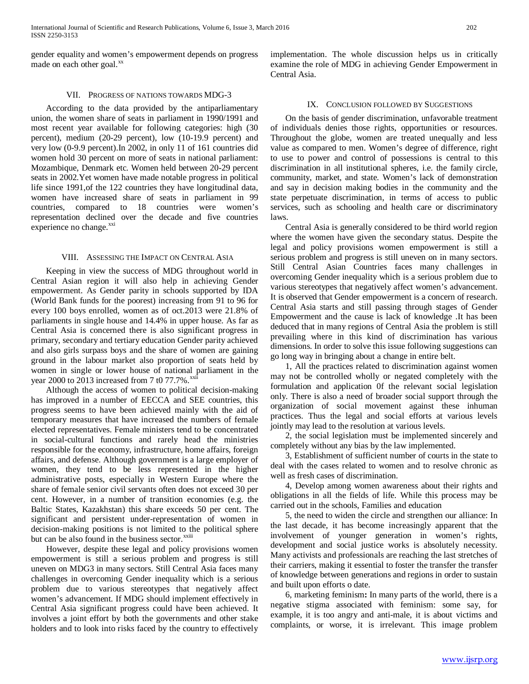International Journal of Scientific and Research Publications, Volume 6, Issue 3, March 2016 202 ISSN 2250-3153

gender equality and women's empowerment depends on progress made on each other goal.<sup>[xx](#page-4-4)</sup>

## VII. PROGRESS OF NATIONS TOWARDS MDG-3

 According to the data provided by the antiparliamentary union, the women share of seats in parliament in 1990/1991 and most recent year available for following categories: high (30 percent), medium (20-29 percent), low (10-19.9 percent) and very low (0-9.9 percent).In 2002, in only 11 of 161 countries did women hold 30 percent on more of seats in national parliament: Mozambique, Denmark etc. Women held between 20-29 percent seats in 2002.Yet women have made notable progress in political life since 1991,of the 122 countries they have longitudinal data, women have increased share of seats in parliament in 99 countries, compared to 18 countries were women's representation declined over the decade and five countries experience no change.<sup>[xxi](#page-4-5)</sup>

#### VIII. ASSESSING THE IMPACT ON CENTRAL ASIA

 Keeping in view the success of MDG throughout world in Central Asian region it will also help in achieving Gender empowerment. As Gender parity in schools supported by IDA (World Bank funds for the poorest) increasing from 91 to 96 for every 100 boys enrolled, women as of oct.2013 were 21.8% of parliaments in single house and 14.4% in upper house. As far as Central Asia is concerned there is also significant progress in primary, secondary and tertiary education Gender parity achieved and also girls surpass boys and the share of women are gaining ground in the labour market also proportion of seats held by women in single or lower house of national parliament in the year 2000 to 2013 increased from 7 t0 77.7%. $^{xx}$ 

 Although the access of women to political decision-making has improved in a number of EECCA and SEE countries, this progress seems to have been achieved mainly with the aid of temporary measures that have increased the numbers of female elected representatives. Female ministers tend to be concentrated in social-cultural functions and rarely head the ministries responsible for the economy, infrastructure, home affairs, foreign affairs, and defense. Although government is a large employer of women, they tend to be less represented in the higher administrative posts, especially in Western Europe where the share of female senior civil servants often does not exceed 30 per cent. However, in a number of transition economies (e.g. the Baltic States, Kazakhstan) this share exceeds 50 per cent. The significant and persistent under-representation of women in decision-making positions is not limited to t[h](#page-4-7)e political sphere but can be also found in the business sector.<sup>xxiii</sup>

 However, despite these legal and policy provisions women empowerment is still a serious problem and progress is still uneven on MDG3 in many sectors. Still Central Asia faces many challenges in overcoming Gender inequality which is a serious problem due to various stereotypes that negatively affect women's advancement. If MDG should implement effectively in Central Asia significant progress could have been achieved. It involves a joint effort by both the governments and other stake holders and to look into risks faced by the country to effectively implementation. The whole discussion helps us in critically examine the role of MDG in achieving Gender Empowerment in Central Asia.

## IX. CONCLUSION FOLLOWED BY SUGGESTIONS

 On the basis of gender discrimination, unfavorable treatment of individuals denies those rights, opportunities or resources. Throughout the globe, women are treated unequally and less value as compared to men. Women's degree of difference, right to use to power and control of possessions is central to this discrimination in all institutional spheres, i.e. the family circle, community, market, and state. Women's lack of demonstration and say in decision making bodies in the community and the state perpetuate discrimination, in terms of access to public services, such as schooling and health care or discriminatory laws.

 Central Asia is generally considered to be third world region where the women have given the secondary status. Despite the legal and policy provisions women empowerment is still a serious problem and progress is still uneven on in many sectors. Still Central Asian Countries faces many challenges in overcoming Gender inequality which is a serious problem due to various stereotypes that negatively affect women's advancement. It is observed that Gender empowerment is a concern of research. Central Asia starts and still passing through stages of Gender Empowerment and the cause is lack of knowledge .It has been deduced that in many regions of Central Asia the problem is still prevailing where in this kind of discrimination has various dimensions. In order to solve this issue following suggestions can go long way in bringing about a change in entire belt.

 1, All the practices related to discrimination against women may not be controlled wholly or negated completely with the formulation and application 0f the relevant social legislation only. There is also a need of broader social support through the organization of social movement against these inhuman practices. Thus the legal and social efforts at various levels jointly may lead to the resolution at various levels.

 2, the social legislation must be implemented sincerely and completely without any bias by the law implemented.

 3, Establishment of sufficient number of courts in the state to deal with the cases related to women and to resolve chronic as well as fresh cases of discrimination.

 4, Develop among women awareness about their rights and obligations in all the fields of life. While this process may be carried out in the schools, Families and education

 5, the need to widen the circle and strengthen our alliance: In the last decade, it has become increasingly apparent that the involvement of younger generation in women's rights, development and social justice works is absolutely necessity. Many activists and professionals are reaching the last stretches of their carriers, making it essential to foster the transfer the transfer of knowledge between generations and regions in order to sustain and built upon efforts o date.

 6, marketing feminism**:** In many parts of the world, there is a negative stigma associated with feminism: some say, for example, it is too angry and anti-male, it is about victims and complaints, or worse, it is irrelevant. This image problem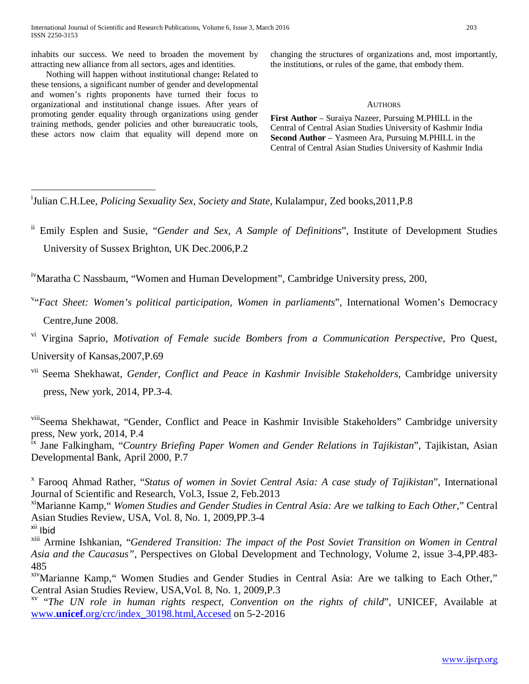inhabits our success. We need to broaden the movement by attracting new alliance from all sectors, ages and identities.

 Nothing will happen without institutional change**:** Related to these tensions, a significant number of gender and developmental and women's rights proponents have turned their focus to organizational and institutional change issues. After years of promoting gender equality through organizations using gender training methods, gender policies and other bureaucratic tools, these actors now claim that equality will depend more on changing the structures of organizations and, most importantly, the institutions, or rules of the game, that embody them.

#### **AUTHORS**

**First Author** – Suraiya Nazeer, Pursuing M.PHILL in the Central of Central Asian Studies University of Kashmir India **Second Author** – Yasmeen Ara, Pursuing M.PHILL in the Central of Central Asian Studies University of Kashmir India

<span id="page-3-0"></span> i <sup>i</sup>Julian C.H.Lee, *Policing Sexuality Sex, Society and State, Kulalampur, Zed books, 2011, P.8* 

<span id="page-3-1"></span>ii Emily Esplen and Susie, "*Gender and Sex, A Sample of Definitions*", Institute of Development Studies University of Sussex Brighton, UK Dec.2006,P.2

<span id="page-3-3"></span><span id="page-3-2"></span><sup>iv</sup>Maratha C Nassbaum, "Women and Human Development", Cambridge University press, 200,

<span id="page-3-4"></span>v "*Fact Sheet: Women's political participation, Women in parliaments*", International Women's Democracy Centre,June 2008.

<span id="page-3-5"></span>vi Virgina Saprio, *Motivation of Female sucide Bombers from a Communication Perspective*, Pro Quest, University of Kansas,2007,P.69

<span id="page-3-6"></span>vii Seema Shekhawat, *Gender, Conflict and Peace in Kashmir Invisible Stakeholders,* Cambridge university press, New york, 2014, PP.3-4.

<span id="page-3-7"></span>viiiSeema Shekhawat, "Gender, Conflict and Peace in Kashmir Invisible Stakeholders" Cambridge university press, New york, 2014, P.4

<span id="page-3-8"></span>ix Jane Falkingham, "*Country Briefing Paper Women and Gender Relations in Tajikistan*", Tajikistan, Asian Developmental Bank, April 2000, P.7

<span id="page-3-9"></span><sup>x</sup> Farooq Ahmad Rather, "*Status of women in Soviet Central Asia: A case study of Tajikistan*", International Journal of Scientific and Research, Vol.3, Issue 2, Feb.2013

<span id="page-3-10"></span>xiMarianne Kamp," *Women Studies and Gender Studies in Central Asia: Are we talking to Each Other*," Central Asian Studies Review, USA, Vol. 8, No. 1, 2009,PP.3-4

<span id="page-3-11"></span>xii Ibid

<span id="page-3-12"></span>xiii Armine Ishkanian, "*Gendered Transition: The impact of the Post Soviet Transition on Women in Central Asia and the Caucasus",* Perspectives on Global Development and Technology, Volume 2, issue 3-4,PP.483- 485

<span id="page-3-13"></span>xivMarianne Kamp," Women Studies and Gender Studies in Central Asia: Are we talking to Each Other," Central Asian Studies Review, USA,Vol. 8, No. 1, 2009,P.3

<span id="page-3-14"></span>xv "*The UN role in human rights respect, Convention on the rights of child*", UNICEF, Available at www.**unicef**[.org/crc/index\\_30198.html,Accesed](http://www.unicef.org/crc/index_30198.html,Accesed) on 5-2-2016